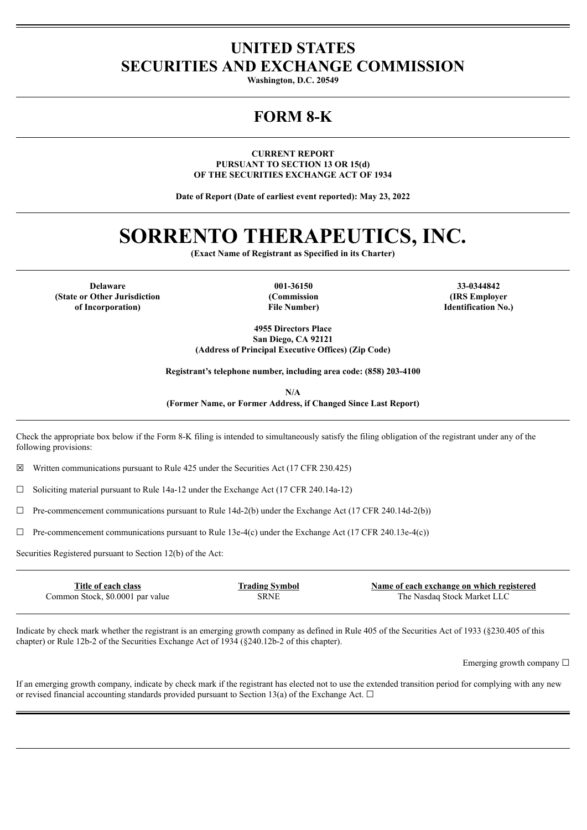## **UNITED STATES SECURITIES AND EXCHANGE COMMISSION**

**Washington, D.C. 20549**

## **FORM 8-K**

**CURRENT REPORT PURSUANT TO SECTION 13 OR 15(d) OF THE SECURITIES EXCHANGE ACT OF 1934**

**Date of Report (Date of earliest event reported): May 23, 2022**

# **SORRENTO THERAPEUTICS, INC.**

**(Exact Name of Registrant as Specified in its Charter)**

**Delaware 001-36150 33-0344842 (State or Other Jurisdiction of Incorporation)**

**(Commission File Number)**

**(IRS Employer Identification No.)**

**4955 Directors Place San Diego, CA 92121 (Address of Principal Executive Offices) (Zip Code)**

**Registrant's telephone number, including area code: (858) 203-4100**

**N/A (Former Name, or Former Address, if Changed Since Last Report)**

Check the appropriate box below if the Form 8-K filing is intended to simultaneously satisfy the filing obligation of the registrant under any of the following provisions:

 $\boxtimes$  Written communications pursuant to Rule 425 under the Securities Act (17 CFR 230.425)

☐ Soliciting material pursuant to Rule 14a-12 under the Exchange Act (17 CFR 240.14a-12)

 $\Box$  Pre-commencement communications pursuant to Rule 14d-2(b) under the Exchange Act (17 CFR 240.14d-2(b))

☐ Pre-commencement communications pursuant to Rule 13e-4(c) under the Exchange Act (17 CFR 240.13e-4(c))

Securities Registered pursuant to Section 12(b) of the Act:

| Title of each class              | <b>Trading Symbol</b> | Name of each exchange on which registered |
|----------------------------------|-----------------------|-------------------------------------------|
| Common Stock, \$0.0001 par value | SRNE                  | The Nasdaq Stock Market LLC               |
|                                  |                       |                                           |

Indicate by check mark whether the registrant is an emerging growth company as defined in Rule 405 of the Securities Act of 1933 (§230.405 of this chapter) or Rule 12b-2 of the Securities Exchange Act of 1934 (§240.12b-2 of this chapter).

Emerging growth company ☐

If an emerging growth company, indicate by check mark if the registrant has elected not to use the extended transition period for complying with any new or revised financial accounting standards provided pursuant to Section 13(a) of the Exchange Act.  $\Box$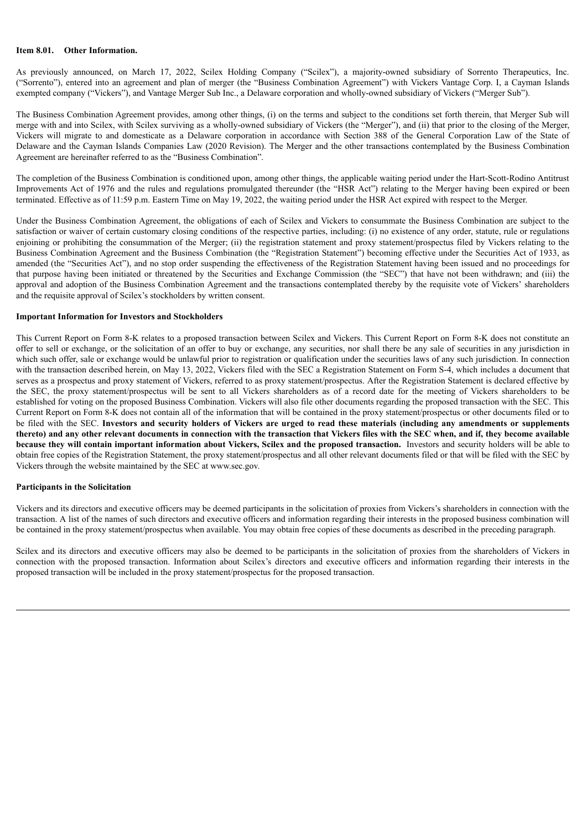#### **Item 8.01. Other Information.**

As previously announced, on March 17, 2022, Scilex Holding Company ("Scilex"), a majority-owned subsidiary of Sorrento Therapeutics, Inc. ("Sorrento"), entered into an agreement and plan of merger (the "Business Combination Agreement") with Vickers Vantage Corp. I, a Cayman Islands exempted company ("Vickers"), and Vantage Merger Sub Inc., a Delaware corporation and wholly-owned subsidiary of Vickers ("Merger Sub").

The Business Combination Agreement provides, among other things, (i) on the terms and subject to the conditions set forth therein, that Merger Sub will merge with and into Scilex, with Scilex surviving as a wholly-owned subsidiary of Vickers (the "Merger"), and (ii) that prior to the closing of the Merger, Vickers will migrate to and domesticate as a Delaware corporation in accordance with Section 388 of the General Corporation Law of the State of Delaware and the Cayman Islands Companies Law (2020 Revision). The Merger and the other transactions contemplated by the Business Combination Agreement are hereinafter referred to as the "Business Combination".

The completion of the Business Combination is conditioned upon, among other things, the applicable waiting period under the Hart-Scott-Rodino Antitrust Improvements Act of 1976 and the rules and regulations promulgated thereunder (the "HSR Act") relating to the Merger having been expired or been terminated. Effective as of 11:59 p.m. Eastern Time on May 19, 2022, the waiting period under the HSR Act expired with respect to the Merger.

Under the Business Combination Agreement, the obligations of each of Scilex and Vickers to consummate the Business Combination are subject to the satisfaction or waiver of certain customary closing conditions of the respective parties, including: (i) no existence of any order, statute, rule or regulations enjoining or prohibiting the consummation of the Merger; (ii) the registration statement and proxy statement/prospectus filed by Vickers relating to the Business Combination Agreement and the Business Combination (the "Registration Statement") becoming effective under the Securities Act of 1933, as amended (the "Securities Act"), and no stop order suspending the effectiveness of the Registration Statement having been issued and no proceedings for that purpose having been initiated or threatened by the Securities and Exchange Commission (the "SEC") that have not been withdrawn; and (iii) the approval and adoption of the Business Combination Agreement and the transactions contemplated thereby by the requisite vote of Vickers' shareholders and the requisite approval of Scilex's stockholders by written consent.

#### **Important Information for Investors and Stockholders**

This Current Report on Form 8-K relates to a proposed transaction between Scilex and Vickers. This Current Report on Form 8-K does not constitute an offer to sell or exchange, or the solicitation of an offer to buy or exchange, any securities, nor shall there be any sale of securities in any jurisdiction in which such offer, sale or exchange would be unlawful prior to registration or qualification under the securities laws of any such jurisdiction. In connection with the transaction described herein, on May 13, 2022, Vickers filed with the SEC a Registration Statement on Form S-4, which includes a document that serves as a prospectus and proxy statement of Vickers, referred to as proxy statement/prospectus. After the Registration Statement is declared effective by the SEC, the proxy statement/prospectus will be sent to all Vickers shareholders as of a record date for the meeting of Vickers shareholders to be established for voting on the proposed Business Combination. Vickers will also file other documents regarding the proposed transaction with the SEC. This Current Report on Form 8-K does not contain all of the information that will be contained in the proxy statement/prospectus or other documents filed or to be filed with the SEC. Investors and security holders of Vickers are urged to read these materials (including any amendments or supplements thereto) and any other relevant documents in connection with the transaction that Vickers files with the SEC when, and if, they become available because they will contain important information about Vickers, Scilex and the proposed transaction. Investors and security holders will be able to obtain free copies of the Registration Statement, the proxy statement/prospectus and all other relevant documents filed or that will be filed with the SEC by Vickers through the website maintained by the SEC at www.sec.gov.

#### **Participants in the Solicitation**

Vickers and its directors and executive officers may be deemed participants in the solicitation of proxies from Vickers's shareholders in connection with the transaction. A list of the names of such directors and executive officers and information regarding their interests in the proposed business combination will be contained in the proxy statement/prospectus when available. You may obtain free copies of these documents as described in the preceding paragraph.

Scilex and its directors and executive officers may also be deemed to be participants in the solicitation of proxies from the shareholders of Vickers in connection with the proposed transaction. Information about Scilex's directors and executive officers and information regarding their interests in the proposed transaction will be included in the proxy statement/prospectus for the proposed transaction.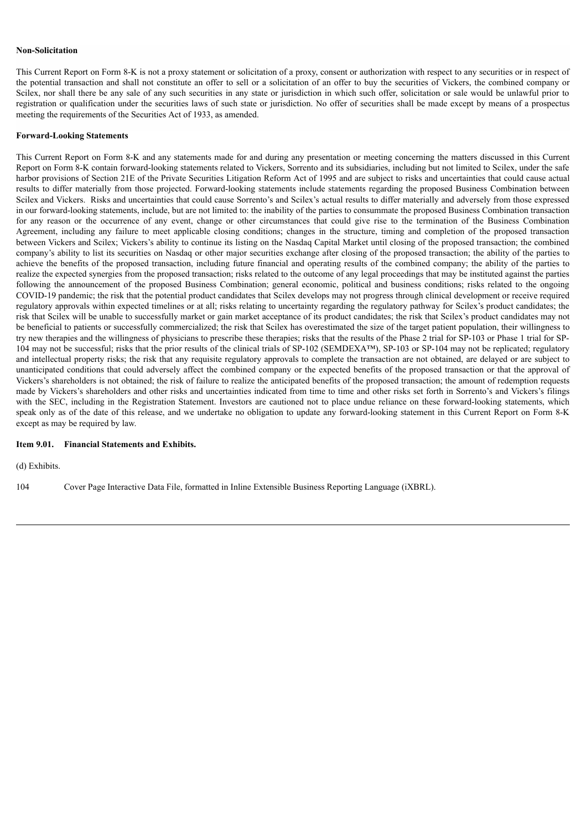#### **Non-Solicitation**

This Current Report on Form 8-K is not a proxy statement or solicitation of a proxy, consent or authorization with respect to any securities or in respect of the potential transaction and shall not constitute an offer to sell or a solicitation of an offer to buy the securities of Vickers, the combined company or Scilex, nor shall there be any sale of any such securities in any state or jurisdiction in which such offer, solicitation or sale would be unlawful prior to registration or qualification under the securities laws of such state or jurisdiction. No offer of securities shall be made except by means of a prospectus meeting the requirements of the Securities Act of 1933, as amended.

#### **Forward-Looking Statements**

This Current Report on Form 8-K and any statements made for and during any presentation or meeting concerning the matters discussed in this Current Report on Form 8-K contain forward-looking statements related to Vickers, Sorrento and its subsidiaries, including but not limited to Scilex, under the safe harbor provisions of Section 21E of the Private Securities Litigation Reform Act of 1995 and are subject to risks and uncertainties that could cause actual results to differ materially from those projected. Forward-looking statements include statements regarding the proposed Business Combination between Scilex and Vickers. Risks and uncertainties that could cause Sorrento's and Scilex's actual results to differ materially and adversely from those expressed in our forward-looking statements, include, but are not limited to: the inability of the parties to consummate the proposed Business Combination transaction for any reason or the occurrence of any event, change or other circumstances that could give rise to the termination of the Business Combination Agreement, including any failure to meet applicable closing conditions; changes in the structure, timing and completion of the proposed transaction between Vickers and Scilex; Vickers's ability to continue its listing on the Nasdaq Capital Market until closing of the proposed transaction; the combined company's ability to list its securities on Nasdaq or other major securities exchange after closing of the proposed transaction; the ability of the parties to achieve the benefits of the proposed transaction, including future financial and operating results of the combined company; the ability of the parties to realize the expected synergies from the proposed transaction; risks related to the outcome of any legal proceedings that may be instituted against the parties following the announcement of the proposed Business Combination; general economic, political and business conditions; risks related to the ongoing COVID-19 pandemic; the risk that the potential product candidates that Scilex develops may not progress through clinical development or receive required regulatory approvals within expected timelines or at all; risks relating to uncertainty regarding the regulatory pathway for Scilex's product candidates; the risk that Scilex will be unable to successfully market or gain market acceptance of its product candidates; the risk that Scilex's product candidates may not be beneficial to patients or successfully commercialized; the risk that Scilex has overestimated the size of the target patient population, their willingness to try new therapies and the willingness of physicians to prescribe these therapies; risks that the results of the Phase 2 trial for SP-103 or Phase 1 trial for SP-104 may not be successful; risks that the prior results of the clinical trials of SP-102 (SEMDEXA™), SP-103 or SP-104 may not be replicated; regulatory and intellectual property risks; the risk that any requisite regulatory approvals to complete the transaction are not obtained, are delayed or are subject to unanticipated conditions that could adversely affect the combined company or the expected benefits of the proposed transaction or that the approval of Vickers's shareholders is not obtained; the risk of failure to realize the anticipated benefits of the proposed transaction; the amount of redemption requests made by Vickers's shareholders and other risks and uncertainties indicated from time to time and other risks set forth in Sorrento's and Vickers's filings with the SEC, including in the Registration Statement. Investors are cautioned not to place undue reliance on these forward-looking statements, which speak only as of the date of this release, and we undertake no obligation to update any forward-looking statement in this Current Report on Form 8-K except as may be required by law.

#### **Item 9.01. Financial Statements and Exhibits.**

(d) Exhibits.

104 Cover Page Interactive Data File, formatted in Inline Extensible Business Reporting Language (iXBRL).